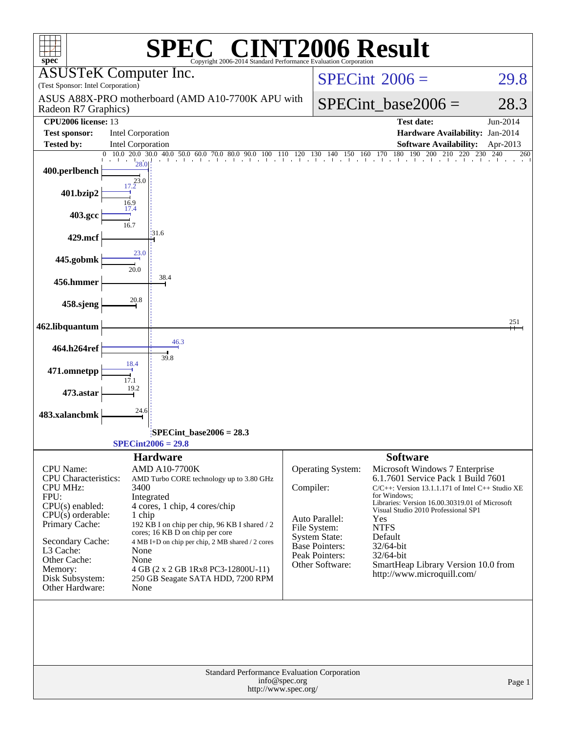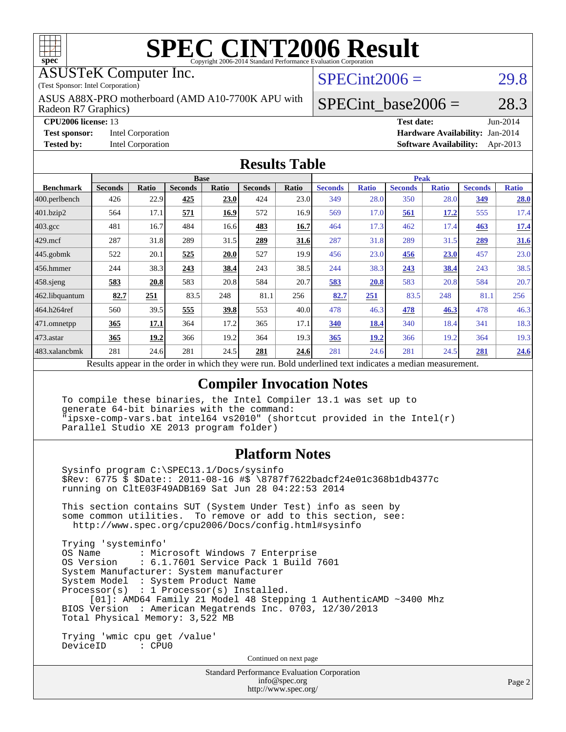

ASUSTeK Computer Inc.

(Test Sponsor: Intel Corporation)

Radeon R7 Graphics) ASUS A88X-PRO motherboard (AMD A10-7700K APU with  $SPECint2006 = 29.8$  $SPECint2006 = 29.8$ 

**[CPU2006 license:](http://www.spec.org/auto/cpu2006/Docs/result-fields.html#CPU2006license)** 13 **[Test date:](http://www.spec.org/auto/cpu2006/Docs/result-fields.html#Testdate)** Jun-2014 **[Test sponsor:](http://www.spec.org/auto/cpu2006/Docs/result-fields.html#Testsponsor)** Intel Corporation **[Hardware Availability:](http://www.spec.org/auto/cpu2006/Docs/result-fields.html#HardwareAvailability)** Jan-2014

SPECint base2006 =  $28.3$ 

**[Tested by:](http://www.spec.org/auto/cpu2006/Docs/result-fields.html#Testedby)** Intel Corporation **[Software Availability:](http://www.spec.org/auto/cpu2006/Docs/result-fields.html#SoftwareAvailability)** Apr-2013

#### **[Results Table](http://www.spec.org/auto/cpu2006/Docs/result-fields.html#ResultsTable)**

|                         | <b>Base</b>    |       |                |              |                | <b>Peak</b>  |                |              |                |              |                |              |
|-------------------------|----------------|-------|----------------|--------------|----------------|--------------|----------------|--------------|----------------|--------------|----------------|--------------|
| <b>Benchmark</b>        | <b>Seconds</b> | Ratio | <b>Seconds</b> | <b>Ratio</b> | <b>Seconds</b> | <b>Ratio</b> | <b>Seconds</b> | <b>Ratio</b> | <b>Seconds</b> | <b>Ratio</b> | <b>Seconds</b> | <b>Ratio</b> |
| $ 400.\text{perlbench}$ | 426            | 22.9  | 425            | 23.0         | 424            | 23.0         | 349            | 28.0         | 350            | 28.0         | 349            | 28.0         |
| 401.bzip2               | 564            | 17.1  | 571            | 16.9         | 572            | 16.9         | 569            | 17.0         | 561            | 17.2         | 555            | 17.4         |
| $403.\mathrm{gcc}$      | 481            | 16.7  | 484            | 16.6         | 483            | 16.7         | 464            | 17.3         | 462            | 17.4         | 463            | 17.4         |
| $429$ .mcf              | 287            | 31.8  | 289            | 31.5         | 289            | 31.6         | 287            | 31.8         | 289            | 31.5         | 289            | 31.6         |
| $445$ .gobmk            | 522            | 20.1  | 525            | 20.0         | 527            | 19.9         | 456            | 23.0         | 456            | 23.0         | 457            | 23.0         |
| $456.$ hmmer            | 244            | 38.3  | 243            | 38.4         | 243            | 38.5         | 244            | 38.3         | 243            | <u>38.4</u>  | 243            | 38.5         |
| $458$ .sjeng            | 583            | 20.8  | 583            | 20.8         | 584            | 20.7         | 583            | 20.8         | 583            | 20.8         | 584            | 20.7         |
| 462.libquantum          | 82.7           | 251   | 83.5           | 248          | 81.1           | 256          | 82.7           | 251          | 83.5           | 248          | 81.1           | 256          |
| 464.h264ref             | 560            | 39.5  | 555            | 39.8         | 553            | 40.0         | 478            | 46.3         | 478            | 46.3         | 478            | 46.3         |
| 471.omnetpp             | 365            | 17.1  | 364            | 17.2         | 365            | 17.1         | 340            | 18.4         | 340            | 18.4         | 341            | 18.3         |
| $473$ . astar           | 365            | 19.2  | 366            | 19.2         | 364            | 19.3         | 365            | <u>19.2</u>  | 366            | 19.2         | 364            | 19.3         |
| 483.xalancbmk           | 281            | 24.6  | 281            | 24.5         | 281            | 24.6         | 281            | 24.6         | 281            | 24.5         | 281            | 24.6         |

Results appear in the [order in which they were run.](http://www.spec.org/auto/cpu2006/Docs/result-fields.html#RunOrder) Bold underlined text [indicates a median measurement.](http://www.spec.org/auto/cpu2006/Docs/result-fields.html#Median)

### **[Compiler Invocation Notes](http://www.spec.org/auto/cpu2006/Docs/result-fields.html#CompilerInvocationNotes)**

 To compile these binaries, the Intel Compiler 13.1 was set up to generate 64-bit binaries with the command: "ipsxe-comp-vars.bat intel64 vs2010" (shortcut provided in the Intel(r) Parallel Studio XE 2013 program folder)

### **[Platform Notes](http://www.spec.org/auto/cpu2006/Docs/result-fields.html#PlatformNotes)**

 Sysinfo program C:\SPEC13.1/Docs/sysinfo \$Rev: 6775 \$ \$Date:: 2011-08-16 #\$ \8787f7622badcf24e01c368b1db4377c running on CltE03F49ADB169 Sat Jun 28 04:22:53 2014

 This section contains SUT (System Under Test) info as seen by some common utilities. To remove or add to this section, see: <http://www.spec.org/cpu2006/Docs/config.html#sysinfo>

 Trying 'systeminfo' : Microsoft Windows 7 Enterprise OS Version : 6.1.7601 Service Pack 1 Build 7601 System Manufacturer: System manufacturer System Model : System Product Name Processor(s) : 1 Processor(s) Installed. [01]: AMD64 Family 21 Model 48 Stepping 1 AuthenticAMD ~3400 Mhz BIOS Version : American Megatrends Inc. 0703, 12/30/2013 Total Physical Memory: 3,522 MB

 Trying 'wmic cpu get /value' DeviceID : CPU0

Continued on next page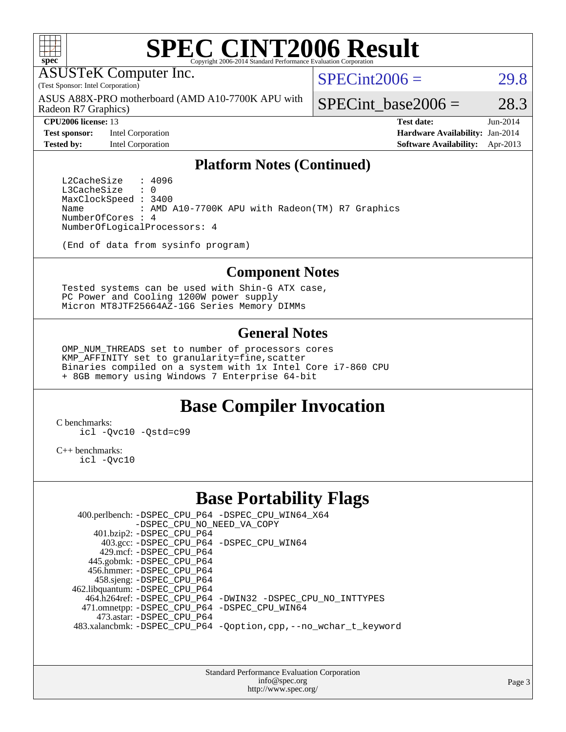

ASUSTeK Computer Inc.

(Test Sponsor: Intel Corporation)

Radeon R7 Graphics) ASUS A88X-PRO motherboard (AMD A10-7700K APU with  $SPECint2006 = 29.8$  $SPECint2006 = 29.8$ 

SPECint base2006 =  $28.3$ 

**[Tested by:](http://www.spec.org/auto/cpu2006/Docs/result-fields.html#Testedby)** Intel Corporation **[Software Availability:](http://www.spec.org/auto/cpu2006/Docs/result-fields.html#SoftwareAvailability)** Apr-2013

**[CPU2006 license:](http://www.spec.org/auto/cpu2006/Docs/result-fields.html#CPU2006license)** 13 **[Test date:](http://www.spec.org/auto/cpu2006/Docs/result-fields.html#Testdate)** Jun-2014 **[Test sponsor:](http://www.spec.org/auto/cpu2006/Docs/result-fields.html#Testsponsor)** Intel Corporation **[Hardware Availability:](http://www.spec.org/auto/cpu2006/Docs/result-fields.html#HardwareAvailability)** Jan-2014

#### **[Platform Notes \(Continued\)](http://www.spec.org/auto/cpu2006/Docs/result-fields.html#PlatformNotes)**

L2CacheSize : 4096<br>L3CacheSize : 0 L3CacheSize MaxClockSpeed : 3400 Name : AMD A10-7700K APU with Radeon(TM) R7 Graphics NumberOfCores : 4 NumberOfLogicalProcessors: 4

(End of data from sysinfo program)

#### **[Component Notes](http://www.spec.org/auto/cpu2006/Docs/result-fields.html#ComponentNotes)**

 Tested systems can be used with Shin-G ATX case, PC Power and Cooling 1200W power supply Micron MT8JTF25664AZ-1G6 Series Memory DIMMs

#### **[General Notes](http://www.spec.org/auto/cpu2006/Docs/result-fields.html#GeneralNotes)**

 OMP\_NUM\_THREADS set to number of processors cores KMP AFFINITY set to granularity=fine, scatter Binaries compiled on a system with 1x Intel Core i7-860 CPU + 8GB memory using Windows 7 Enterprise 64-bit

## **[Base Compiler Invocation](http://www.spec.org/auto/cpu2006/Docs/result-fields.html#BaseCompilerInvocation)**

[C benchmarks](http://www.spec.org/auto/cpu2006/Docs/result-fields.html#Cbenchmarks):

[icl -Qvc10](http://www.spec.org/cpu2006/results/res2014q3/cpu2006-20140630-30105.flags.html#user_CCbase_intel_icc_vc10_9607f3ecbcdf68042245f068e51b40c1) [-Qstd=c99](http://www.spec.org/cpu2006/results/res2014q3/cpu2006-20140630-30105.flags.html#user_CCbase_intel_compiler_c99_mode_1a3d110e3041b3ad4466830521bdad2a)

[C++ benchmarks:](http://www.spec.org/auto/cpu2006/Docs/result-fields.html#CXXbenchmarks)

[icl -Qvc10](http://www.spec.org/cpu2006/results/res2014q3/cpu2006-20140630-30105.flags.html#user_CXXbase_intel_icc_vc10_9607f3ecbcdf68042245f068e51b40c1)

## **[Base Portability Flags](http://www.spec.org/auto/cpu2006/Docs/result-fields.html#BasePortabilityFlags)**

 400.perlbench: [-DSPEC\\_CPU\\_P64](http://www.spec.org/cpu2006/results/res2014q3/cpu2006-20140630-30105.flags.html#b400.perlbench_basePORTABILITY_DSPEC_CPU_P64) [-DSPEC\\_CPU\\_WIN64\\_X64](http://www.spec.org/cpu2006/results/res2014q3/cpu2006-20140630-30105.flags.html#b400.perlbench_baseCPORTABILITY_DSPEC_CPU_WIN64_X64) [-DSPEC\\_CPU\\_NO\\_NEED\\_VA\\_COPY](http://www.spec.org/cpu2006/results/res2014q3/cpu2006-20140630-30105.flags.html#b400.perlbench_baseCPORTABILITY_DSPEC_CPU_NO_NEED_VA_COPY) 401.bzip2: [-DSPEC\\_CPU\\_P64](http://www.spec.org/cpu2006/results/res2014q3/cpu2006-20140630-30105.flags.html#suite_basePORTABILITY401_bzip2_DSPEC_CPU_P64) 403.gcc: [-DSPEC\\_CPU\\_P64](http://www.spec.org/cpu2006/results/res2014q3/cpu2006-20140630-30105.flags.html#suite_basePORTABILITY403_gcc_DSPEC_CPU_P64) [-DSPEC\\_CPU\\_WIN64](http://www.spec.org/cpu2006/results/res2014q3/cpu2006-20140630-30105.flags.html#b403.gcc_baseCPORTABILITY_DSPEC_CPU_WIN64) 429.mcf: [-DSPEC\\_CPU\\_P64](http://www.spec.org/cpu2006/results/res2014q3/cpu2006-20140630-30105.flags.html#suite_basePORTABILITY429_mcf_DSPEC_CPU_P64) 445.gobmk: [-DSPEC\\_CPU\\_P64](http://www.spec.org/cpu2006/results/res2014q3/cpu2006-20140630-30105.flags.html#suite_basePORTABILITY445_gobmk_DSPEC_CPU_P64) 456.hmmer: [-DSPEC\\_CPU\\_P64](http://www.spec.org/cpu2006/results/res2014q3/cpu2006-20140630-30105.flags.html#suite_basePORTABILITY456_hmmer_DSPEC_CPU_P64) 458.sjeng: [-DSPEC\\_CPU\\_P64](http://www.spec.org/cpu2006/results/res2014q3/cpu2006-20140630-30105.flags.html#suite_basePORTABILITY458_sjeng_DSPEC_CPU_P64) 462.libquantum: [-DSPEC\\_CPU\\_P64](http://www.spec.org/cpu2006/results/res2014q3/cpu2006-20140630-30105.flags.html#suite_basePORTABILITY462_libquantum_DSPEC_CPU_P64) 464.h264ref: [-DSPEC\\_CPU\\_P64](http://www.spec.org/cpu2006/results/res2014q3/cpu2006-20140630-30105.flags.html#suite_basePORTABILITY464_h264ref_DSPEC_CPU_P64) [-DWIN32](http://www.spec.org/cpu2006/results/res2014q3/cpu2006-20140630-30105.flags.html#b464.h264ref_baseCPORTABILITY_DWIN32) [-DSPEC\\_CPU\\_NO\\_INTTYPES](http://www.spec.org/cpu2006/results/res2014q3/cpu2006-20140630-30105.flags.html#b464.h264ref_baseCPORTABILITY_DSPEC_CPU_NO_INTTYPES) 471.omnetpp: [-DSPEC\\_CPU\\_P64](http://www.spec.org/cpu2006/results/res2014q3/cpu2006-20140630-30105.flags.html#suite_basePORTABILITY471_omnetpp_DSPEC_CPU_P64) [-DSPEC\\_CPU\\_WIN64](http://www.spec.org/cpu2006/results/res2014q3/cpu2006-20140630-30105.flags.html#b471.omnetpp_baseCXXPORTABILITY_DSPEC_CPU_WIN64) 473.astar: [-DSPEC\\_CPU\\_P64](http://www.spec.org/cpu2006/results/res2014q3/cpu2006-20140630-30105.flags.html#suite_basePORTABILITY473_astar_DSPEC_CPU_P64) 483.xalancbmk: [-DSPEC\\_CPU\\_P64](http://www.spec.org/cpu2006/results/res2014q3/cpu2006-20140630-30105.flags.html#suite_basePORTABILITY483_xalancbmk_DSPEC_CPU_P64) [-Qoption,cpp,--no\\_wchar\\_t\\_keyword](http://www.spec.org/cpu2006/results/res2014q3/cpu2006-20140630-30105.flags.html#user_baseCXXPORTABILITY483_xalancbmk_f-no_wchar_t_keyword_ec0ad4495a16b4e858bfcb29d949d25d)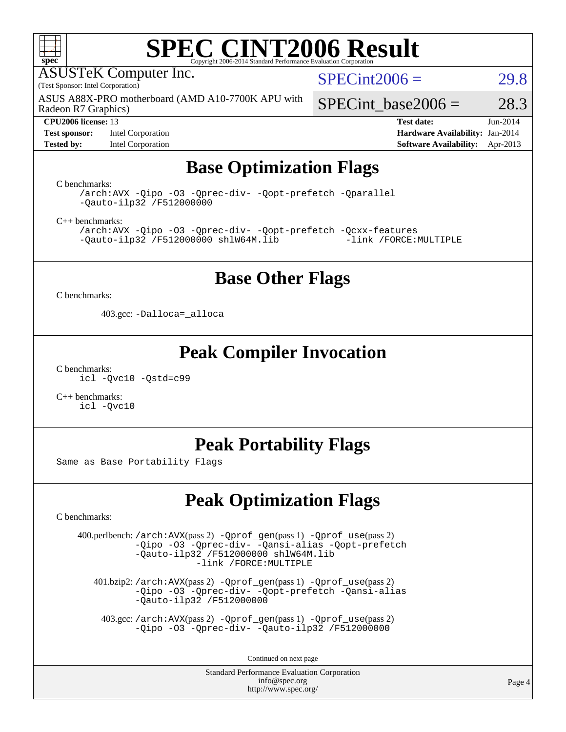

ASUSTeK Computer Inc.

(Test Sponsor: Intel Corporation)

Radeon R7 Graphics) ASUS A88X-PRO motherboard (AMD A10-7700K APU with  $SPECint2006 = 29.8$  $SPECint2006 = 29.8$ 

**[Test sponsor:](http://www.spec.org/auto/cpu2006/Docs/result-fields.html#Testsponsor)** Intel Corporation **[Hardware Availability:](http://www.spec.org/auto/cpu2006/Docs/result-fields.html#HardwareAvailability)** Jan-2014

SPECint base2006 =  $28.3$ 

**[CPU2006 license:](http://www.spec.org/auto/cpu2006/Docs/result-fields.html#CPU2006license)** 13 **[Test date:](http://www.spec.org/auto/cpu2006/Docs/result-fields.html#Testdate)** Jun-2014 **[Tested by:](http://www.spec.org/auto/cpu2006/Docs/result-fields.html#Testedby)** Intel Corporation **[Software Availability:](http://www.spec.org/auto/cpu2006/Docs/result-fields.html#SoftwareAvailability)** Apr-2013

# **[Base Optimization Flags](http://www.spec.org/auto/cpu2006/Docs/result-fields.html#BaseOptimizationFlags)**

[C benchmarks](http://www.spec.org/auto/cpu2006/Docs/result-fields.html#Cbenchmarks):

[/arch:AVX](http://www.spec.org/cpu2006/results/res2014q3/cpu2006-20140630-30105.flags.html#user_CCbase_f-archAVX_e8ab52e15dc7c67e0682fc680b79ed94) [-Qipo](http://www.spec.org/cpu2006/results/res2014q3/cpu2006-20140630-30105.flags.html#user_CCbase_f-Qipo) [-O3](http://www.spec.org/cpu2006/results/res2014q3/cpu2006-20140630-30105.flags.html#user_CCbase_f-O3) [-Qprec-div-](http://www.spec.org/cpu2006/results/res2014q3/cpu2006-20140630-30105.flags.html#user_CCbase_f-Qprec-div-) [-Qopt-prefetch](http://www.spec.org/cpu2006/results/res2014q3/cpu2006-20140630-30105.flags.html#user_CCbase_f-Qprefetch_37c211608666b9dff9380561f602f0a8) [-Qparallel](http://www.spec.org/cpu2006/results/res2014q3/cpu2006-20140630-30105.flags.html#user_CCbase_f-Qparallel) [-Qauto-ilp32](http://www.spec.org/cpu2006/results/res2014q3/cpu2006-20140630-30105.flags.html#user_CCbase_f-Qauto-ilp32) [/F512000000](http://www.spec.org/cpu2006/results/res2014q3/cpu2006-20140630-30105.flags.html#user_CCbase_set_stack_space_98438a10eb60aa5f35f4c79d9b9b27b1)

[C++ benchmarks:](http://www.spec.org/auto/cpu2006/Docs/result-fields.html#CXXbenchmarks)

[/arch:AVX](http://www.spec.org/cpu2006/results/res2014q3/cpu2006-20140630-30105.flags.html#user_CXXbase_f-archAVX_e8ab52e15dc7c67e0682fc680b79ed94) [-Qipo](http://www.spec.org/cpu2006/results/res2014q3/cpu2006-20140630-30105.flags.html#user_CXXbase_f-Qipo) [-O3](http://www.spec.org/cpu2006/results/res2014q3/cpu2006-20140630-30105.flags.html#user_CXXbase_f-O3) [-Qprec-div-](http://www.spec.org/cpu2006/results/res2014q3/cpu2006-20140630-30105.flags.html#user_CXXbase_f-Qprec-div-) [-Qopt-prefetch](http://www.spec.org/cpu2006/results/res2014q3/cpu2006-20140630-30105.flags.html#user_CXXbase_f-Qprefetch_37c211608666b9dff9380561f602f0a8) [-Qcxx-features](http://www.spec.org/cpu2006/results/res2014q3/cpu2006-20140630-30105.flags.html#user_CXXbase_f-Qcxx_features_dbf36c8a6dba956e22f1645e4dcd4d98)  $-Qauto-ilp32$  [/F512000000](http://www.spec.org/cpu2006/results/res2014q3/cpu2006-20140630-30105.flags.html#user_CXXbase_set_stack_space_98438a10eb60aa5f35f4c79d9b9b27b1) [shlW64M.lib](http://www.spec.org/cpu2006/results/res2014q3/cpu2006-20140630-30105.flags.html#user_CXXbase_SmartHeap64_c4f7f76711bdf8c0633a5c1edf6e5396)

## **[Base Other Flags](http://www.spec.org/auto/cpu2006/Docs/result-fields.html#BaseOtherFlags)**

[C benchmarks](http://www.spec.org/auto/cpu2006/Docs/result-fields.html#Cbenchmarks):

403.gcc: [-Dalloca=\\_alloca](http://www.spec.org/cpu2006/results/res2014q3/cpu2006-20140630-30105.flags.html#b403.gcc_baseEXTRA_CFLAGS_Dalloca_be3056838c12de2578596ca5467af7f3)

## **[Peak Compiler Invocation](http://www.spec.org/auto/cpu2006/Docs/result-fields.html#PeakCompilerInvocation)**

[C benchmarks](http://www.spec.org/auto/cpu2006/Docs/result-fields.html#Cbenchmarks): [icl -Qvc10](http://www.spec.org/cpu2006/results/res2014q3/cpu2006-20140630-30105.flags.html#user_CCpeak_intel_icc_vc10_9607f3ecbcdf68042245f068e51b40c1) [-Qstd=c99](http://www.spec.org/cpu2006/results/res2014q3/cpu2006-20140630-30105.flags.html#user_CCpeak_intel_compiler_c99_mode_1a3d110e3041b3ad4466830521bdad2a)

[C++ benchmarks:](http://www.spec.org/auto/cpu2006/Docs/result-fields.html#CXXbenchmarks) [icl -Qvc10](http://www.spec.org/cpu2006/results/res2014q3/cpu2006-20140630-30105.flags.html#user_CXXpeak_intel_icc_vc10_9607f3ecbcdf68042245f068e51b40c1)

# **[Peak Portability Flags](http://www.spec.org/auto/cpu2006/Docs/result-fields.html#PeakPortabilityFlags)**

Same as Base Portability Flags

# **[Peak Optimization Flags](http://www.spec.org/auto/cpu2006/Docs/result-fields.html#PeakOptimizationFlags)**

[C benchmarks](http://www.spec.org/auto/cpu2006/Docs/result-fields.html#Cbenchmarks):

 400.perlbench: [/arch:AVX](http://www.spec.org/cpu2006/results/res2014q3/cpu2006-20140630-30105.flags.html#user_peakPASS2_CFLAGSPASS2_LDFLAGS400_perlbench_f-archAVX_e8ab52e15dc7c67e0682fc680b79ed94)(pass 2) [-Qprof\\_gen](http://www.spec.org/cpu2006/results/res2014q3/cpu2006-20140630-30105.flags.html#user_peakPASS1_CFLAGSPASS1_LDFLAGS400_perlbench_Qprof_gen)(pass 1) [-Qprof\\_use](http://www.spec.org/cpu2006/results/res2014q3/cpu2006-20140630-30105.flags.html#user_peakPASS2_CFLAGSPASS2_LDFLAGS400_perlbench_Qprof_use)(pass 2) [-Qipo](http://www.spec.org/cpu2006/results/res2014q3/cpu2006-20140630-30105.flags.html#user_peakOPTIMIZE400_perlbench_f-Qipo) [-O3](http://www.spec.org/cpu2006/results/res2014q3/cpu2006-20140630-30105.flags.html#user_peakOPTIMIZE400_perlbench_f-O3) [-Qprec-div-](http://www.spec.org/cpu2006/results/res2014q3/cpu2006-20140630-30105.flags.html#user_peakOPTIMIZE400_perlbench_f-Qprec-div-) [-Qansi-alias](http://www.spec.org/cpu2006/results/res2014q3/cpu2006-20140630-30105.flags.html#user_peakOPTIMIZE400_perlbench_f-Qansi-alias) [-Qopt-prefetch](http://www.spec.org/cpu2006/results/res2014q3/cpu2006-20140630-30105.flags.html#user_peakOPTIMIZE400_perlbench_f-Qprefetch_37c211608666b9dff9380561f602f0a8) [-Qauto-ilp32](http://www.spec.org/cpu2006/results/res2014q3/cpu2006-20140630-30105.flags.html#user_peakCOPTIMIZE400_perlbench_f-Qauto-ilp32) [/F512000000](http://www.spec.org/cpu2006/results/res2014q3/cpu2006-20140630-30105.flags.html#user_peakEXTRA_LDFLAGS400_perlbench_set_stack_space_98438a10eb60aa5f35f4c79d9b9b27b1) [shlW64M.lib](http://www.spec.org/cpu2006/results/res2014q3/cpu2006-20140630-30105.flags.html#user_peakEXTRA_LIBS400_perlbench_SmartHeap64_c4f7f76711bdf8c0633a5c1edf6e5396)  [-link /FORCE:MULTIPLE](http://www.spec.org/cpu2006/results/res2014q3/cpu2006-20140630-30105.flags.html#user_peakLDOUT400_perlbench_link_force_multiple2_070fe330869edf77077b841074b8b0b6)

 401.bzip2: [/arch:AVX](http://www.spec.org/cpu2006/results/res2014q3/cpu2006-20140630-30105.flags.html#user_peakPASS2_CFLAGSPASS2_LDFLAGS401_bzip2_f-archAVX_e8ab52e15dc7c67e0682fc680b79ed94)(pass 2) [-Qprof\\_gen](http://www.spec.org/cpu2006/results/res2014q3/cpu2006-20140630-30105.flags.html#user_peakPASS1_CFLAGSPASS1_LDFLAGS401_bzip2_Qprof_gen)(pass 1) [-Qprof\\_use](http://www.spec.org/cpu2006/results/res2014q3/cpu2006-20140630-30105.flags.html#user_peakPASS2_CFLAGSPASS2_LDFLAGS401_bzip2_Qprof_use)(pass 2) [-Qipo](http://www.spec.org/cpu2006/results/res2014q3/cpu2006-20140630-30105.flags.html#user_peakOPTIMIZE401_bzip2_f-Qipo) [-O3](http://www.spec.org/cpu2006/results/res2014q3/cpu2006-20140630-30105.flags.html#user_peakOPTIMIZE401_bzip2_f-O3) [-Qprec-div-](http://www.spec.org/cpu2006/results/res2014q3/cpu2006-20140630-30105.flags.html#user_peakOPTIMIZE401_bzip2_f-Qprec-div-) [-Qopt-prefetch](http://www.spec.org/cpu2006/results/res2014q3/cpu2006-20140630-30105.flags.html#user_peakOPTIMIZE401_bzip2_f-Qprefetch_37c211608666b9dff9380561f602f0a8) [-Qansi-alias](http://www.spec.org/cpu2006/results/res2014q3/cpu2006-20140630-30105.flags.html#user_peakOPTIMIZE401_bzip2_f-Qansi-alias) [-Qauto-ilp32](http://www.spec.org/cpu2006/results/res2014q3/cpu2006-20140630-30105.flags.html#user_peakCOPTIMIZE401_bzip2_f-Qauto-ilp32) [/F512000000](http://www.spec.org/cpu2006/results/res2014q3/cpu2006-20140630-30105.flags.html#user_peakEXTRA_LDFLAGS401_bzip2_set_stack_space_98438a10eb60aa5f35f4c79d9b9b27b1)

 403.gcc: [/arch:AVX](http://www.spec.org/cpu2006/results/res2014q3/cpu2006-20140630-30105.flags.html#user_peakPASS2_CFLAGSPASS2_LDFLAGS403_gcc_f-archAVX_e8ab52e15dc7c67e0682fc680b79ed94)(pass 2) [-Qprof\\_gen](http://www.spec.org/cpu2006/results/res2014q3/cpu2006-20140630-30105.flags.html#user_peakPASS1_CFLAGSPASS1_LDFLAGS403_gcc_Qprof_gen)(pass 1) [-Qprof\\_use](http://www.spec.org/cpu2006/results/res2014q3/cpu2006-20140630-30105.flags.html#user_peakPASS2_CFLAGSPASS2_LDFLAGS403_gcc_Qprof_use)(pass 2) [-Qipo](http://www.spec.org/cpu2006/results/res2014q3/cpu2006-20140630-30105.flags.html#user_peakOPTIMIZE403_gcc_f-Qipo) [-O3](http://www.spec.org/cpu2006/results/res2014q3/cpu2006-20140630-30105.flags.html#user_peakOPTIMIZE403_gcc_f-O3) [-Qprec-div-](http://www.spec.org/cpu2006/results/res2014q3/cpu2006-20140630-30105.flags.html#user_peakOPTIMIZE403_gcc_f-Qprec-div-) [-Qauto-ilp32](http://www.spec.org/cpu2006/results/res2014q3/cpu2006-20140630-30105.flags.html#user_peakCOPTIMIZE403_gcc_f-Qauto-ilp32) [/F512000000](http://www.spec.org/cpu2006/results/res2014q3/cpu2006-20140630-30105.flags.html#user_peakEXTRA_LDFLAGS403_gcc_set_stack_space_98438a10eb60aa5f35f4c79d9b9b27b1)

Continued on next page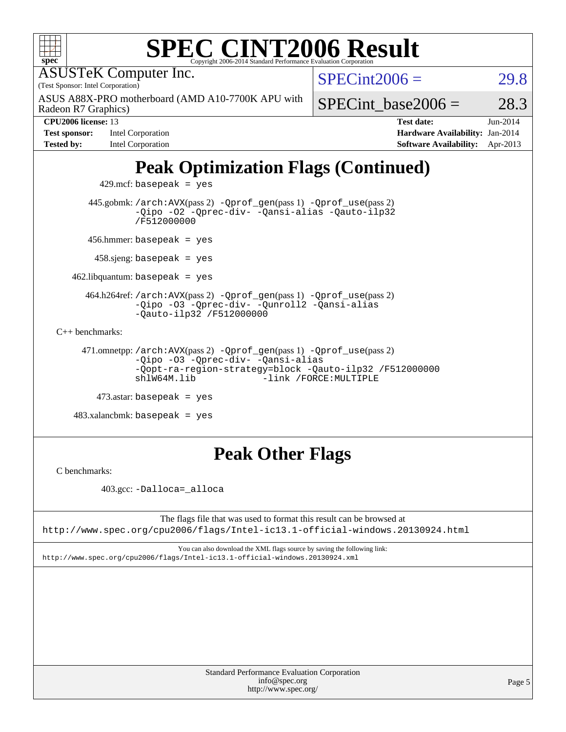| <b>SPEC CINT2006 Result</b>                                                                                                                                                          |                        |                                 |            |  |  |  |
|--------------------------------------------------------------------------------------------------------------------------------------------------------------------------------------|------------------------|---------------------------------|------------|--|--|--|
| $spec^*$<br>Copyright 2006-2014 Standard Performance Evaluation Corporation                                                                                                          |                        |                                 |            |  |  |  |
| <b>ASUSTeK Computer Inc.</b>                                                                                                                                                         |                        | $SPECint2006 =$                 |            |  |  |  |
| (Test Sponsor: Intel Corporation)                                                                                                                                                    | 29.8                   |                                 |            |  |  |  |
| ASUS A88X-PRO motherboard (AMD A10-7700K APU with<br>Radeon R7 Graphics)                                                                                                             | SPECint base2006 $=$   |                                 | 28.3       |  |  |  |
| CPU2006 license: 13                                                                                                                                                                  |                        | <b>Test date:</b>               | $Jun-2014$ |  |  |  |
| Intel Corporation<br><b>Test sponsor:</b>                                                                                                                                            |                        | Hardware Availability: Jan-2014 |            |  |  |  |
| <b>Tested by:</b><br>Intel Corporation                                                                                                                                               |                        | <b>Software Availability:</b>   | Apr-2013   |  |  |  |
| <b>Peak Optimization Flags (Continued)</b>                                                                                                                                           |                        |                                 |            |  |  |  |
| $429$ .mcf: basepeak = yes                                                                                                                                                           |                        |                                 |            |  |  |  |
| 445.gobmk: /arch: AVX(pass 2) - Qprof_gen(pass 1) - Qprof_use(pass 2)<br>-Qipo -02 -Qprec-div- -Qansi-alias -Qauto-ilp32<br>/F512000000                                              |                        |                                 |            |  |  |  |
| 456.hmmer: basepeak = $yes$                                                                                                                                                          |                        |                                 |            |  |  |  |
| $458 \text{.}$ sjeng: basepeak = yes                                                                                                                                                 |                        |                                 |            |  |  |  |
| $462$ .libquantum: basepeak = yes                                                                                                                                                    |                        |                                 |            |  |  |  |
| 464.h264ref: /arch: AVX(pass 2) - Qprof_gen(pass 1) - Qprof_use(pass 2)<br>-Qipo -03 -Qprec-div- -Qunroll2 -Qansi-alias<br>$-Qauto-ilp32 /F512000000$                                |                        |                                 |            |  |  |  |
| $C_{++}$ benchmarks:                                                                                                                                                                 |                        |                                 |            |  |  |  |
| 471.omnetpp://arch:AVX(pass 2) -Qprof_gen(pass 1) -Qprof_use(pass 2)<br>-Qipo -03 -Qprec-div- -Qansi-alias<br>-Qopt-ra-region-strategy=block -Qauto-ilp32 /F512000000<br>shlW64M.lib | -link /FORCE: MULTIPLE |                                 |            |  |  |  |
| $473$ .astar: basepeak = yes                                                                                                                                                         |                        |                                 |            |  |  |  |
| $483.xalanchmk: basepeak = yes$                                                                                                                                                      |                        |                                 |            |  |  |  |
|                                                                                                                                                                                      |                        |                                 |            |  |  |  |

## **[Peak Other Flags](http://www.spec.org/auto/cpu2006/Docs/result-fields.html#PeakOtherFlags)**

[C benchmarks](http://www.spec.org/auto/cpu2006/Docs/result-fields.html#Cbenchmarks):

403.gcc: [-Dalloca=\\_alloca](http://www.spec.org/cpu2006/results/res2014q3/cpu2006-20140630-30105.flags.html#b403.gcc_peakEXTRA_CFLAGS_Dalloca_be3056838c12de2578596ca5467af7f3)

The flags file that was used to format this result can be browsed at <http://www.spec.org/cpu2006/flags/Intel-ic13.1-official-windows.20130924.html>

You can also download the XML flags source by saving the following link: <http://www.spec.org/cpu2006/flags/Intel-ic13.1-official-windows.20130924.xml>